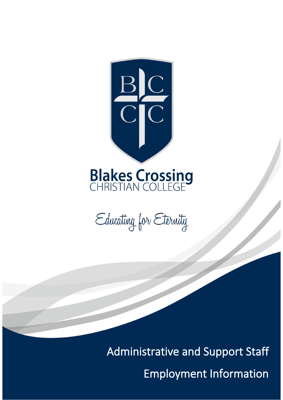



Administrative and Support Staff

Employment Information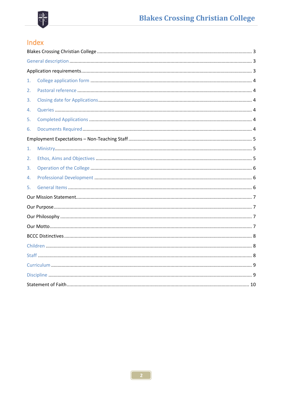

# Index

| 1. |  |  |  |  |
|----|--|--|--|--|
| 2. |  |  |  |  |
| 3. |  |  |  |  |
| 4. |  |  |  |  |
| 5. |  |  |  |  |
| 6. |  |  |  |  |
|    |  |  |  |  |
| 1. |  |  |  |  |
| 2. |  |  |  |  |
| 3. |  |  |  |  |
| 4. |  |  |  |  |
| 5. |  |  |  |  |
|    |  |  |  |  |
|    |  |  |  |  |
|    |  |  |  |  |
|    |  |  |  |  |
|    |  |  |  |  |
|    |  |  |  |  |
|    |  |  |  |  |
|    |  |  |  |  |
|    |  |  |  |  |
|    |  |  |  |  |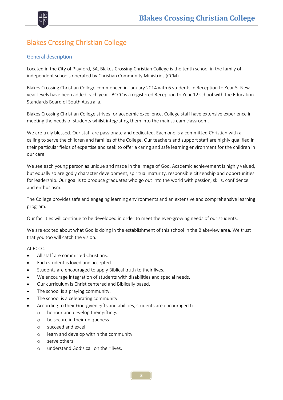

## Blakes Crossing Christian College

#### General description

Located in the City of Playford, SA, Blakes Crossing Christian College is the tenth school in the family of independent schools operated by Christian Community Ministries (CCM).

Blakes Crossing Christian College commenced in January 2014 with 6 students in Reception to Year 5. New year levels have been added each year. BCCC is a registered Reception to Year 12 school with the Education Standards Board of South Australia.

Blakes Crossing Christian College strives for academic excellence. College staff have extensive experience in meeting the needs of students whilst integrating them into the mainstream classroom.

We are truly blessed. Our staff are passionate and dedicated. Each one is a committed Christian with a calling to serve the children and families of the College. Our teachers and support staff are highly qualified in their particular fields of expertise and seek to offer a caring and safe learning environment for the children in our care.

We see each young person as unique and made in the image of God. Academic achievement is highly valued, but equally so are godly character development, spiritual maturity, responsible citizenship and opportunities for leadership. Our goal is to produce graduates who go out into the world with passion, skills, confidence and enthusiasm.

The College provides safe and engaging learning environments and an extensive and comprehensive learning program.

Our facilities will continue to be developed in order to meet the ever-growing needs of our students.

We are excited about what God is doing in the establishment of this school in the Blakeview area. We trust that you too will catch the vision.

At BCCC:

- All staff are committed Christians.
- Each student is loved and accepted.
- Students are encouraged to apply Biblical truth to their lives.
- We encourage integration of students with disabilities and special needs.
- Our curriculum is Christ centered and Biblically based.
- The school is a praying community.
- The school is a celebrating community.
- According to their God-given gifts and abilities, students are encouraged to:
	- o honour and develop their giftings
		- o be secure in their uniqueness
		- o succeed and excel
		- o learn and develop within the community
		- o serve others
		- o understand God's call on their lives.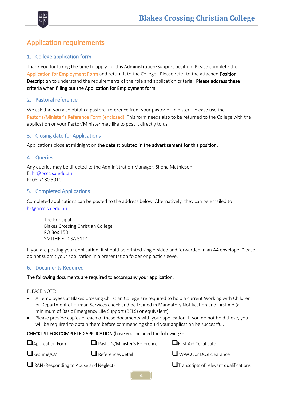

## Application requirements

#### 1. College application form

Thank you for taking the time to apply for this Administration/Support position. Please complete the Application for Employment Form and return it to the College. Please refer to the attached Position Description to understand the requirements of the role and application criteria. Please address these criteria when filling out the Application for Employment form.

#### 2. Pastoral reference

We ask that you also obtain a pastoral reference from your pastor or minister – please use the Pastor's/Minister's Reference Form (enclosed). This form needs also to be returned to the College with the application or your Pastor/Minister may like to post it directly to us.

#### 3. Closing date for Applications

Applications close at midnight on the date stipulated in the advertisement for this position.

#### 4. Queries

Any queries may be directed to the Administration Manager, Shona Mathieson. E: [hr@bccc.sa.edu.au](mailto:hr@bccc.sa.edu.au) P: 08-7180 5010

#### 5. Completed Applications

Completed applications can be posted to the address below. Alternatively, they can be emailed to [hr@bccc.sa.edu.au](mailto:hr@bccc.sa.edu.au)

The Principal Blakes Crossing Christian College PO Box 150 SMITHFIELD SA 5114

If you are posting your application, it should be printed single-sided and forwarded in an A4 envelope. Please do not submit your application in a presentation folder or plastic sleeve.

#### 6. Documents Required

#### The following documents are required to accompany your application.

PLEASE NOTE:

- All employees at Blakes Crossing Christian College are required to hold a current Working with Children or Department of Human Services check and be trained in Mandatory Notification and First Aid (a minimum of Basic Emergency Life Support (BELS) or equivalent).
- Please provide copies of each of these documents with your application. If you do not hold these, you will be required to obtain them before commencing should your application be successful.

CHECKLIST FOR COMPLETED APPLICATION (have you included the following?):

| Application Form                             | Pastor's/Minister's Reference                 | $\Box$ First Aid Certificate  |
|----------------------------------------------|-----------------------------------------------|-------------------------------|
| $\Box$ Resumé/CV                             | $\Box$ References detail                      | $\Box$ WWCC or DCSI clearance |
| $\Box$ RAN (Responding to Abuse and Neglect) | $\Box$ Transcripts of relevant qualifications |                               |
|                                              | $\mathbf{A}$                                  |                               |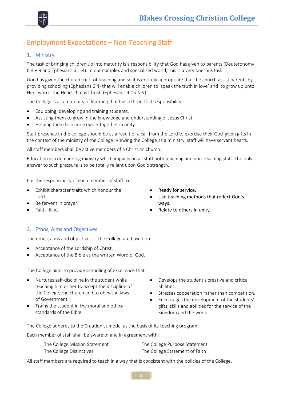

## Employment Expectations – Non-Teaching Staff

#### 1. Ministry

The task of bringing children up into maturity is a responsibility that God has given to parents (Deuteronomy 6:4 – 9 and Ephesians 6:1-4). In our complex and specialised world, this is a very onerous task.

God has given the church a gift of teaching and so it is entirely appropriate that the church assist parents by providing schooling (Ephesians 6:4) that will enable children to 'speak the truth in love' and 'to grow up unto Him, who is the Head, that is Christ' (Ephesians 4:15 NIV).

The College is a community of learning that has a three-fold responsibility:

- Equipping, developing and training students.
- Assisting them to grow in the knowledge and understanding of Jesus Christ.
- Helping them to learn to work together in unity.

Staff presence in the college should be as a result of a call from the Lord to exercise their God-given gifts in the context of the ministry of the College. Viewing the College as a ministry, staff will have servant hearts.

All staff members shall be active members of a Christian church.

Education is a demanding ministry which impacts on all staff both teaching and non-teaching staff. The only answer to such pressure is to be totally reliant upon God's strength.

It is the responsibility of each member of staff to:

- Exhibit character traits which honour the Lord.
- Be fervent in prayer.
- Faith-filled.
- Ready for service.
- Use teaching methods that reflect God's ways.
- Relate to others in unity.

#### 2. Ethos, Aims and Objectives

The ethos, aims and objectives of the College are based on:

- Acceptance of the Lordship of Christ.
- Acceptance of the Bible as the written Word of God.

The College aims to provide schooling of excellence that:

- Nurtures self-discipline in the student while teaching him or her to accept the discipline of the College, the church and to obey the laws of Government.
- Trains the student in the moral and ethical standards of the Bible.
- Develops the student's creative and critical abilities.
- Stresses cooperation rather than competition.
- Encourages the development of the students' gifts, skills and abilities for the service of the Kingdom and the world.

The College adheres to the Creationist model as the basis of its teaching program.

Each member of staff shall be aware of and in agreement with:

| The College Mission Statement | The College Purpose Statement  |
|-------------------------------|--------------------------------|
| The College Distinctives      | The College Statement of Faith |

All staff members are required to teach in a way that is consistent with the policies of the College.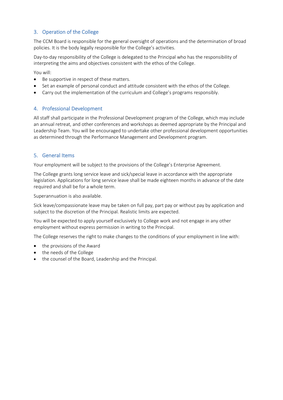#### 3. Operation of the College

The CCM Board is responsible for the general oversight of operations and the determination of broad policies. It is the body legally responsible for the College's activities.

Day-to-day responsibility of the College is delegated to the Principal who has the responsibility of interpreting the aims and objectives consistent with the ethos of the College.

You will:

- Be supportive in respect of these matters.
- Set an example of personal conduct and attitude consistent with the ethos of the College.
- Carry out the implementation of the curriculum and College's programs responsibly.

#### 4. Professional Development

All staff shall participate in the Professional Development program of the College, which may include an annual retreat, and other conferences and workshops as deemed appropriate by the Principal and Leadership Team. You will be encouraged to undertake other professional development opportunities as determined through the Performance Management and Development program.

#### 5. General Items

Your employment will be subject to the provisions of the College's Enterprise Agreement.

The College grants long service leave and sick/special leave in accordance with the appropriate legislation. Applications for long service leave shall be made eighteen months in advance of the date required and shall be for a whole term.

Superannuation is also available.

Sick leave/compassionate leave may be taken on full pay, part pay or without pay by application and subject to the discretion of the Principal. Realistic limits are expected.

You will be expected to apply yourself exclusively to College work and not engage in any other employment without express permission in writing to the Principal.

The College reserves the right to make changes to the conditions of your employment in line with:

- the provisions of the Award
- the needs of the College
- the counsel of the Board, Leadership and the Principal.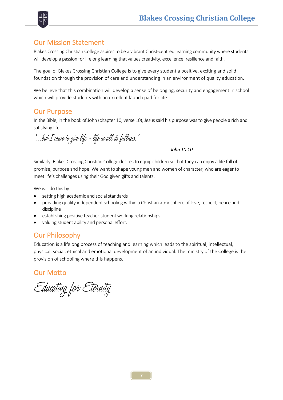



### Our Mission Statement

Blakes Crossing Christian College aspires to be a vibrant Christ-centred learning community where students will develop a passion for lifelong learning that values creativity, excellence, resilience and faith.

The goal of Blakes Crossing Christian College is to give every student a positive, exciting and solid foundation through the provision of care and understanding in an environment of quality education.

We believe that this combination will develop a sense of belonging, security and engagement in school which will provide students with an excellent launch pad for life.

### Our Purpose

In the Bible, in the book of John (chapter 10, verse 10), Jesus said his purpose was to give people a rich and satisfying life.

"…but I came to give life - life in all its fullness."

*John 10:10*

Similarly, Blakes Crossing Christian College desires to equip children so that they can enjoy a life full of promise, purpose and hope. We want to shape young men and women of character, who are eager to meet life's challenges using their God given gifts and talents.

We will do this by:

- setting high academic and social standards
- providing quality independent schooling within a Christian atmosphere of love, respect, peace and discipline
- establishing positive teacher-student working relationships
- valuing student ability and personal effort.

### Our Philosophy

Education is a lifelong process of teaching and learning which leads to the spiritual, intellectual, physical, social, ethical and emotional development of an individual. The ministry of the College is the provision of schooling where this happens.

### Our Motto

Educating for Eternity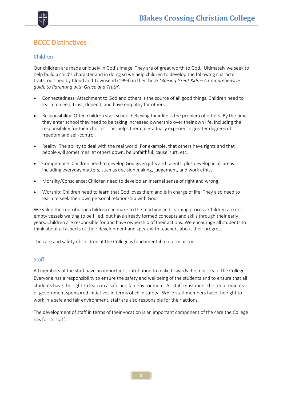

## BCCC Distinctives

#### Children

Our children are made uniquely in God's image. They are of great worth to God. Ultimately we seek to help build a child's character and in doing so we help children to develop the following character traits, outlined by Cloud and Townsend (1999) in their book '*Raising Great Kids – A Comprehensive guide to Parenting with Grace and Truth*'.

- Connectedness: Attachment to God and others is the source of all good things. Children need to learn to need, trust, depend, and have empathy for others.
- Responsibility: Often children start school believing their life is the problem of others. By the time they enter school they need to be taking increased ownership over their own life, including the responsibility for their choices. This helps them to gradually experience greater degrees of freedom and self-control.
- Reality: The ability to deal with the real world. For example, that others have rights and that people will sometimes let others down, be unfaithful, cause hurt, etc.
- Competence: Children need to develop God given gifts and talents, plus develop in all areas including everyday matters, such as decision making, judgement, and work ethics.
- Morality/Conscience: Children need to develop an internal sense of right and wrong.
- Worship: Children need to learn that God loves them and is in charge of life. They also need to learn to seek their own personal relationship with God.

We value the contribution children can make to the teaching and learning process. Children are not empty vessels waiting to be filled, but have already formed concepts and skills through their early years. Children are responsible for and have ownership of their actions. We encourage all students to think about all aspects of their development and speak with teachers about their progress.

The care and safety of children at the College is fundamental to our ministry.

#### **Staff**

All members of the staff have an important contribution to make towards the ministry of the College. Everyone has a responsibility to ensure the safety and wellbeing of the students and to ensure that all students have the right to learn in a safe and fair environment. All staff must meet the requirements of government sponsored initiatives in terms of child safety. While staff members have the right to work in a safe and fair environment, staff are also responsible for their actions.

The development of staff in terms of their vocation is an important component of the care the College has for its staff.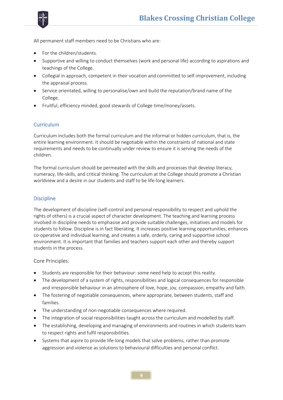



All permanent staff members need to be Christians who are:

- For the children/students.
- Supportive and willing to conduct themselves (work and personal life) according to aspirations and teachings of the College.
- Collegial in approach, competent in their vocation and committed to self-improvement, including the appraisal process.
- Service orientated, willing to personalise/own and build the reputation/brand name of the College.
- Fruitful, efficiency minded, good stewards of College time/money/assets.

#### **Curriculum**

Curriculum includes both the formal curriculum and the informal or hidden curriculum, that is, the entire learning environment. It should be negotiable within the constraints of national and state requirements and needs to be continually under review to ensure it is serving the needs of the children.

The formal curriculum should be permeated with the skills and processes that develop literacy, numeracy, life-skills, and critical thinking. The curriculum at the College should promote a Christian worldview and a desire in our students and staff to be life-long learners.

#### **Discipline**

The development of discipline (self-control and personal responsibility to respect and uphold the rights of others) is a crucial aspect of character development. The teaching and learning process involved in discipline needs to emphasise and provide suitable challenges, initiatives and models for students to follow. Discipline is in fact liberating. It increases positive learning opportunities, enhances co-operative and individual learning, and creates a safe, orderly, caring and supportive school environment. It is important that families and teachers support each other and thereby support students in the process.

#### Core Principles:

- Students are responsible for their behaviour: some need help to accept this reality.
- The development of a system of rights, responsibilities and logical consequences for responsible and irresponsible behaviour in an atmosphere of love, hope, joy, compassion, empathy and faith.
- The fostering of negotiable consequences, where appropriate, between students, staff and families.
- The understanding of non-negotiable consequences where required.
- The integration of social responsibilities taught across the curriculum and modelled by staff.
- The establishing, developing and managing of environments and routines in which students learn to respect rights and fulfil responsibilities.
- Systems that aspire to provide life-long models that solve problems, rather than promote aggression and violence as solutions to behavioural difficulties and personal conflict.